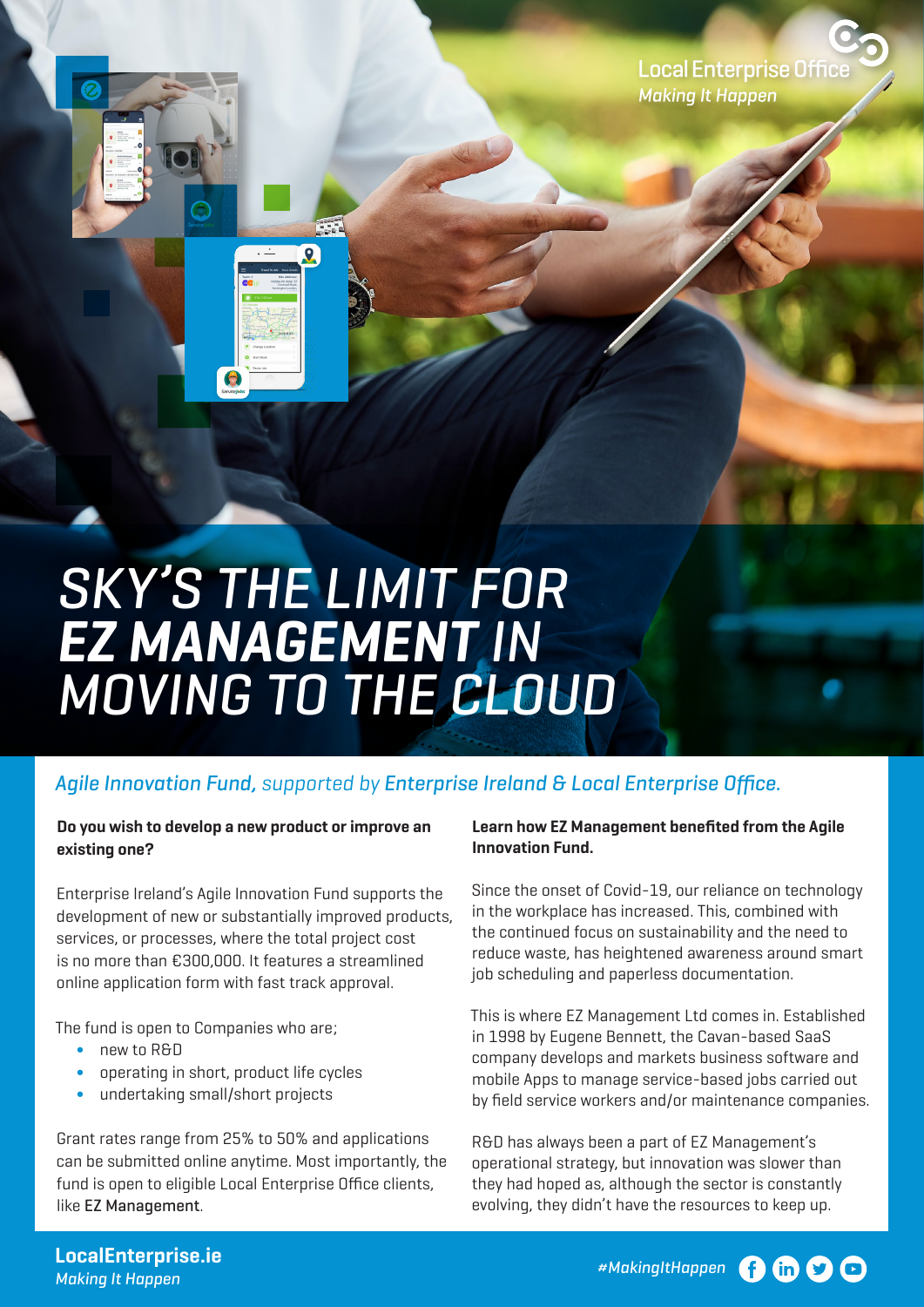## *SKY'S THE LIMIT FOR EZ MANAGEMENT IN MOVING TO THE CLOUD*

## *Agile Innovation Fund,* supported by *Enterprise Ireland & Local Enterprise Office.*

## **Do you wish to develop a new product or improve an existing one?**

Enterprise Ireland's Agile Innovation Fund supports the development of new or substantially improved products, services, or processes, where the total project cost is no more than €300,000. It features a streamlined online application form with fast track approval.

The fund is open to Companies who are;

- ∫ new to R&D
- ∫ operating in short, product life cycles
- undertaking small/short projects

Grant rates range from 25% to 50% and applications can be submitted online anytime. Most importantly, the fund is open to eligible Local Enterprise Office clients, like EZ Management.

## **Learn how EZ Management benefited from the Agile Innovation Fund.**

Since the onset of Covid-19, our reliance on technology in the workplace has increased. This, combined with the continued focus on sustainability and the need to reduce waste, has heightened awareness around smart job scheduling and paperless documentation.

This is where EZ Management Ltd comes in. Established in 1998 by Eugene Bennett, the Cavan-based SaaS company develops and markets business software and mobile Apps to manage service-based jobs carried out by field service workers and/or maintenance companies.

R&D has always been a part of EZ Management's operational strategy, but innovation was slower than they had hoped as, although the sector is constantly evolving, they didn't have the resources to keep up.